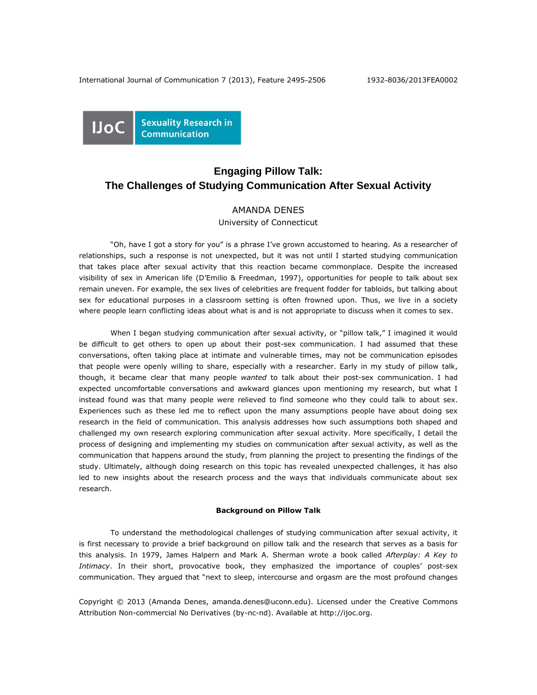

# **Engaging Pillow Talk: The Challenges of Studying Communication After Sexual Activity**

## AMANDA DENES

University of Connecticut

"Oh, have I got a story for you" is a phrase I've grown accustomed to hearing. As a researcher of relationships, such a response is not unexpected, but it was not until I started studying communication that takes place after sexual activity that this reaction became commonplace. Despite the increased visibility of sex in American life (D'Emilio & Freedman, 1997), opportunities for people to talk about sex remain uneven. For example, the sex lives of celebrities are frequent fodder for tabloids, but talking about sex for educational purposes in a classroom setting is often frowned upon. Thus, we live in a society where people learn conflicting ideas about what is and is not appropriate to discuss when it comes to sex.

When I began studying communication after sexual activity, or "pillow talk," I imagined it would be difficult to get others to open up about their post-sex communication. I had assumed that these conversations, often taking place at intimate and vulnerable times, may not be communication episodes that people were openly willing to share, especially with a researcher. Early in my study of pillow talk, though, it became clear that many people *wanted* to talk about their post-sex communication. I had expected uncomfortable conversations and awkward glances upon mentioning my research, but what I instead found was that many people were relieved to find someone who they could talk to about sex. Experiences such as these led me to reflect upon the many assumptions people have about doing sex research in the field of communication. This analysis addresses how such assumptions both shaped and challenged my own research exploring communication after sexual activity. More specifically, I detail the process of designing and implementing my studies on communication after sexual activity, as well as the communication that happens around the study, from planning the project to presenting the findings of the study. Ultimately, although doing research on this topic has revealed unexpected challenges, it has also led to new insights about the research process and the ways that individuals communicate about sex research.

### **Background on Pillow Talk**

To understand the methodological challenges of studying communication after sexual activity, it is first necessary to provide a brief background on pillow talk and the research that serves as a basis for this analysis. In 1979, James Halpern and Mark A. Sherman wrote a book called *Afterplay: A Key to Intimacy*. In their short, provocative book, they emphasized the importance of couples' post-sex communication. They argued that "next to sleep, intercourse and orgasm are the most profound changes

Copyright © 2013 (Amanda Denes, amanda.denes@uconn.edu). Licensed under the Creative Commons Attribution Non-commercial No Derivatives (by-nc-nd). Available at http://ijoc.org.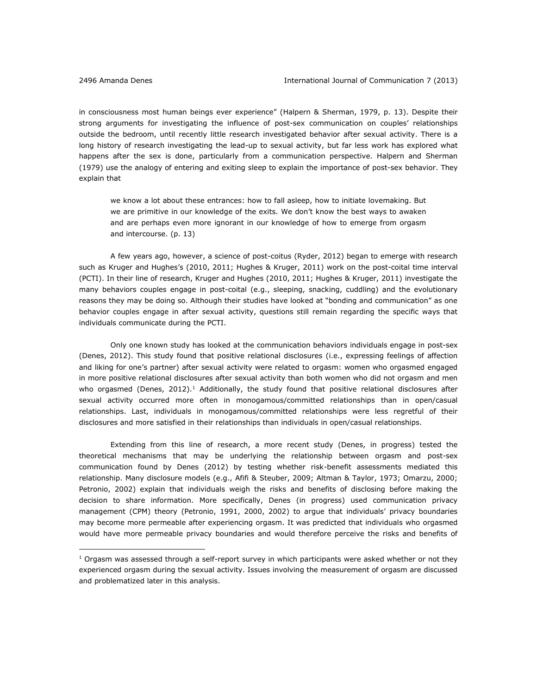$\overline{a}$ 

in consciousness most human beings ever experience" (Halpern & Sherman, 1979, p. 13). Despite their strong arguments for investigating the influence of post-sex communication on couples' relationships outside the bedroom, until recently little research investigated behavior after sexual activity. There is a long history of research investigating the lead-up to sexual activity, but far less work has explored what happens after the sex is done, particularly from a communication perspective. Halpern and Sherman (1979) use the analogy of entering and exiting sleep to explain the importance of post-sex behavior. They explain that

we know a lot about these entrances: how to fall asleep, how to initiate lovemaking. But we are primitive in our knowledge of the exits. We don't know the best ways to awaken and are perhaps even more ignorant in our knowledge of how to emerge from orgasm and intercourse. (p. 13)

A few years ago, however, a science of post-coitus (Ryder, 2012) began to emerge with research such as Kruger and Hughes's (2010, 2011; Hughes & Kruger, 2011) work on the post-coital time interval (PCTI). In their line of research, Kruger and Hughes (2010, 2011; Hughes & Kruger, 2011) investigate the many behaviors couples engage in post-coital (e.g., sleeping, snacking, cuddling) and the evolutionary reasons they may be doing so. Although their studies have looked at "bonding and communication" as one behavior couples engage in after sexual activity, questions still remain regarding the specific ways that individuals communicate during the PCTI.

Only one known study has looked at the communication behaviors individuals engage in post-sex (Denes, 2012). This study found that positive relational disclosures (i.e., expressing feelings of affection and liking for one's partner) after sexual activity were related to orgasm: women who orgasmed engaged in more positive relational disclosures after sexual activity than both women who did not orgasm and men who orgasmed (Denes,  $2012$ ).<sup>1</sup> Additionally, the study found that positive relational disclosures after sexual activity occurred more often in monogamous/committed relationships than in open/casual relationships. Last, individuals in monogamous/committed relationships were less regretful of their disclosures and more satisfied in their relationships than individuals in open/casual relationships.

Extending from this line of research, a more recent study (Denes, in progress) tested the theoretical mechanisms that may be underlying the relationship between orgasm and post-sex communication found by Denes (2012) by testing whether risk-benefit assessments mediated this relationship. Many disclosure models (e.g., Afifi & Steuber, 2009; Altman & Taylor, 1973; Omarzu, 2000; Petronio, 2002) explain that individuals weigh the risks and benefits of disclosing before making the decision to share information. More specifically, Denes (in progress) used communication privacy management (CPM) theory (Petronio, 1991, 2000, 2002) to argue that individuals' privacy boundaries may become more permeable after experiencing orgasm. It was predicted that individuals who orgasmed would have more permeable privacy boundaries and would therefore perceive the risks and benefits of

 $1$  Orgasm was assessed through a self-report survey in which participants were asked whether or not they experienced orgasm during the sexual activity. Issues involving the measurement of orgasm are discussed and problematized later in this analysis.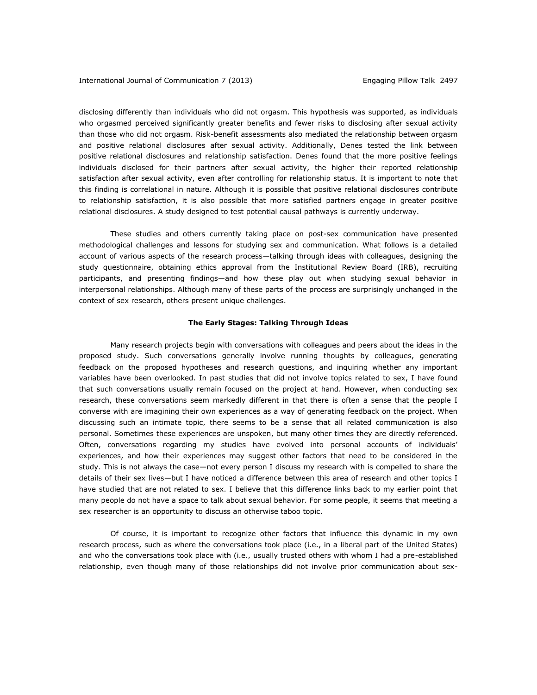disclosing differently than individuals who did not orgasm. This hypothesis was supported, as individuals who orgasmed perceived significantly greater benefits and fewer risks to disclosing after sexual activity than those who did not orgasm. Risk-benefit assessments also mediated the relationship between orgasm and positive relational disclosures after sexual activity. Additionally, Denes tested the link between positive relational disclosures and relationship satisfaction. Denes found that the more positive feelings individuals disclosed for their partners after sexual activity, the higher their reported relationship satisfaction after sexual activity, even after controlling for relationship status. It is important to note that this finding is correlational in nature. Although it is possible that positive relational disclosures contribute to relationship satisfaction, it is also possible that more satisfied partners engage in greater positive relational disclosures. A study designed to test potential causal pathways is currently underway.

These studies and others currently taking place on post-sex communication have presented methodological challenges and lessons for studying sex and communication. What follows is a detailed account of various aspects of the research process—talking through ideas with colleagues, designing the study questionnaire, obtaining ethics approval from the Institutional Review Board (IRB), recruiting participants, and presenting findings—and how these play out when studying sexual behavior in interpersonal relationships. Although many of these parts of the process are surprisingly unchanged in the context of sex research, others present unique challenges.

### **The Early Stages: Talking Through Ideas**

Many research projects begin with conversations with colleagues and peers about the ideas in the proposed study. Such conversations generally involve running thoughts by colleagues, generating feedback on the proposed hypotheses and research questions, and inquiring whether any important variables have been overlooked. In past studies that did not involve topics related to sex, I have found that such conversations usually remain focused on the project at hand. However, when conducting sex research, these conversations seem markedly different in that there is often a sense that the people I converse with are imagining their own experiences as a way of generating feedback on the project. When discussing such an intimate topic, there seems to be a sense that all related communication is also personal. Sometimes these experiences are unspoken, but many other times they are directly referenced. Often, conversations regarding my studies have evolved into personal accounts of individuals' experiences, and how their experiences may suggest other factors that need to be considered in the study. This is not always the case—not every person I discuss my research with is compelled to share the details of their sex lives—but I have noticed a difference between this area of research and other topics I have studied that are not related to sex. I believe that this difference links back to my earlier point that many people do not have a space to talk about sexual behavior. For some people, it seems that meeting a sex researcher is an opportunity to discuss an otherwise taboo topic.

Of course, it is important to recognize other factors that influence this dynamic in my own research process, such as where the conversations took place (i.e., in a liberal part of the United States) and who the conversations took place with (i.e., usually trusted others with whom I had a pre-established relationship, even though many of those relationships did not involve prior communication about sex-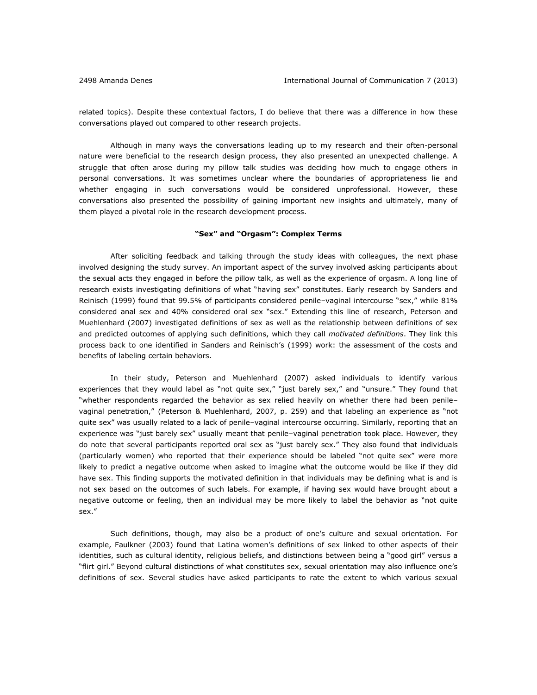related topics). Despite these contextual factors, I do believe that there was a difference in how these conversations played out compared to other research projects.

Although in many ways the conversations leading up to my research and their often-personal nature were beneficial to the research design process, they also presented an unexpected challenge. A struggle that often arose during my pillow talk studies was deciding how much to engage others in personal conversations. It was sometimes unclear where the boundaries of appropriateness lie and whether engaging in such conversations would be considered unprofessional. However, these conversations also presented the possibility of gaining important new insights and ultimately, many of them played a pivotal role in the research development process.

#### **"Sex" and "Orgasm": Complex Terms**

After soliciting feedback and talking through the study ideas with colleagues, the next phase involved designing the study survey. An important aspect of the survey involved asking participants about the sexual acts they engaged in before the pillow talk, as well as the experience of orgasm. A long line of research exists investigating definitions of what "having sex" constitutes. Early research by Sanders and Reinisch (1999) found that 99.5% of participants considered penile–vaginal intercourse "sex," while 81% considered anal sex and 40% considered oral sex "sex." Extending this line of research, Peterson and Muehlenhard (2007) investigated definitions of sex as well as the relationship between definitions of sex and predicted outcomes of applying such definitions, which they call *motivated definitions*. They link this process back to one identified in Sanders and Reinisch's (1999) work: the assessment of the costs and benefits of labeling certain behaviors.

In their study, Peterson and Muehlenhard (2007) asked individuals to identify various experiences that they would label as "not quite sex," "just barely sex," and "unsure." They found that "whether respondents regarded the behavior as sex relied heavily on whether there had been penile– vaginal penetration," (Peterson & Muehlenhard, 2007, p. 259) and that labeling an experience as "not quite sex" was usually related to a lack of penile–vaginal intercourse occurring. Similarly, reporting that an experience was "just barely sex" usually meant that penile–vaginal penetration took place. However, they do note that several participants reported oral sex as "just barely sex." They also found that individuals (particularly women) who reported that their experience should be labeled "not quite sex" were more likely to predict a negative outcome when asked to imagine what the outcome would be like if they did have sex. This finding supports the motivated definition in that individuals may be defining what is and is not sex based on the outcomes of such labels. For example, if having sex would have brought about a negative outcome or feeling, then an individual may be more likely to label the behavior as "not quite sex."

Such definitions, though, may also be a product of one's culture and sexual orientation. For example, Faulkner (2003) found that Latina women's definitions of sex linked to other aspects of their identities, such as cultural identity, religious beliefs, and distinctions between being a "good girl" versus a "flirt girl." Beyond cultural distinctions of what constitutes sex, sexual orientation may also influence one's definitions of sex. Several studies have asked participants to rate the extent to which various sexual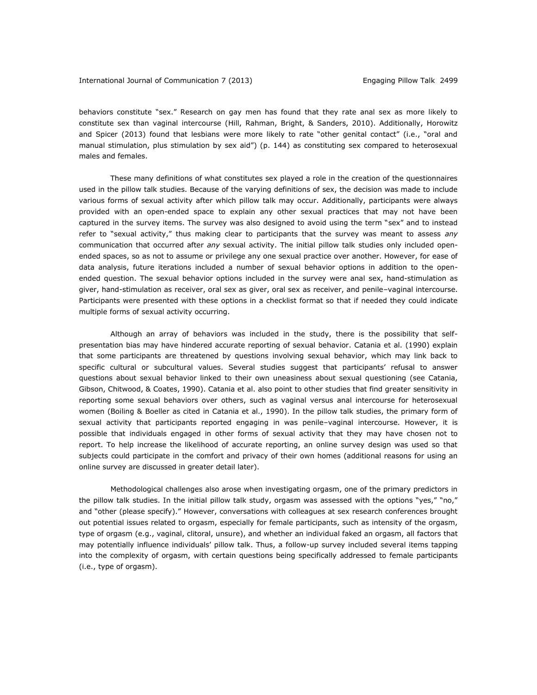behaviors constitute "sex." Research on gay men has found that they rate anal sex as more likely to constitute sex than vaginal intercourse (Hill, Rahman, Bright, & Sanders, 2010). Additionally, Horowitz and Spicer (2013) found that lesbians were more likely to rate "other genital contact" (i.e., "oral and manual stimulation, plus stimulation by sex aid") (p. 144) as constituting sex compared to heterosexual males and females.

These many definitions of what constitutes sex played a role in the creation of the questionnaires used in the pillow talk studies. Because of the varying definitions of sex, the decision was made to include various forms of sexual activity after which pillow talk may occur. Additionally, participants were always provided with an open-ended space to explain any other sexual practices that may not have been captured in the survey items. The survey was also designed to avoid using the term "sex" and to instead refer to "sexual activity," thus making clear to participants that the survey was meant to assess *any* communication that occurred after *any* sexual activity. The initial pillow talk studies only included openended spaces, so as not to assume or privilege any one sexual practice over another. However, for ease of data analysis, future iterations included a number of sexual behavior options in addition to the openended question. The sexual behavior options included in the survey were anal sex, hand-stimulation as giver, hand-stimulation as receiver, oral sex as giver, oral sex as receiver, and penile–vaginal intercourse. Participants were presented with these options in a checklist format so that if needed they could indicate multiple forms of sexual activity occurring.

Although an array of behaviors was included in the study, there is the possibility that selfpresentation bias may have hindered accurate reporting of sexual behavior. Catania et al. (1990) explain that some participants are threatened by questions involving sexual behavior, which may link back to specific cultural or subcultural values. Several studies suggest that participants' refusal to answer questions about sexual behavior linked to their own uneasiness about sexual questioning (see Catania, Gibson, Chitwood, & Coates, 1990). Catania et al. also point to other studies that find greater sensitivity in reporting some sexual behaviors over others, such as vaginal versus anal intercourse for heterosexual women (Boiling & Boeller as cited in Catania et al., 1990). In the pillow talk studies, the primary form of sexual activity that participants reported engaging in was penile–vaginal intercourse. However, it is possible that individuals engaged in other forms of sexual activity that they may have chosen not to report. To help increase the likelihood of accurate reporting, an online survey design was used so that subjects could participate in the comfort and privacy of their own homes (additional reasons for using an online survey are discussed in greater detail later).

Methodological challenges also arose when investigating orgasm, one of the primary predictors in the pillow talk studies. In the initial pillow talk study, orgasm was assessed with the options "yes," "no," and "other (please specify)." However, conversations with colleagues at sex research conferences brought out potential issues related to orgasm, especially for female participants, such as intensity of the orgasm, type of orgasm (e.g., vaginal, clitoral, unsure), and whether an individual faked an orgasm, all factors that may potentially influence individuals' pillow talk. Thus, a follow-up survey included several items tapping into the complexity of orgasm, with certain questions being specifically addressed to female participants (i.e., type of orgasm).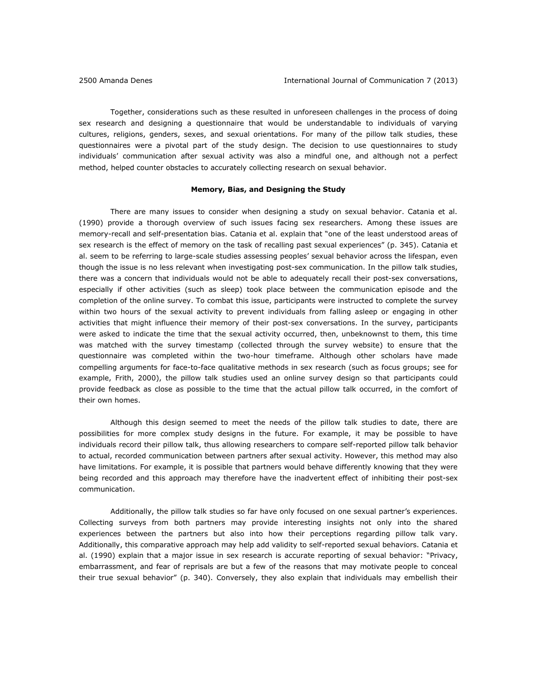Together, considerations such as these resulted in unforeseen challenges in the process of doing sex research and designing a questionnaire that would be understandable to individuals of varying cultures, religions, genders, sexes, and sexual orientations. For many of the pillow talk studies, these questionnaires were a pivotal part of the study design. The decision to use questionnaires to study individuals' communication after sexual activity was also a mindful one, and although not a perfect method, helped counter obstacles to accurately collecting research on sexual behavior.

#### **Memory, Bias, and Designing the Study**

There are many issues to consider when designing a study on sexual behavior. Catania et al. (1990) provide a thorough overview of such issues facing sex researchers. Among these issues are memory-recall and self-presentation bias. Catania et al. explain that "one of the least understood areas of sex research is the effect of memory on the task of recalling past sexual experiences" (p. 345). Catania et al. seem to be referring to large-scale studies assessing peoples' sexual behavior across the lifespan, even though the issue is no less relevant when investigating post-sex communication. In the pillow talk studies, there was a concern that individuals would not be able to adequately recall their post-sex conversations, especially if other activities (such as sleep) took place between the communication episode and the completion of the online survey. To combat this issue, participants were instructed to complete the survey within two hours of the sexual activity to prevent individuals from falling asleep or engaging in other activities that might influence their memory of their post-sex conversations. In the survey, participants were asked to indicate the time that the sexual activity occurred, then, unbeknownst to them, this time was matched with the survey timestamp (collected through the survey website) to ensure that the questionnaire was completed within the two-hour timeframe. Although other scholars have made compelling arguments for face-to-face qualitative methods in sex research (such as focus groups; see for example, Frith, 2000), the pillow talk studies used an online survey design so that participants could provide feedback as close as possible to the time that the actual pillow talk occurred, in the comfort of their own homes.

Although this design seemed to meet the needs of the pillow talk studies to date, there are possibilities for more complex study designs in the future. For example, it may be possible to have individuals record their pillow talk, thus allowing researchers to compare self-reported pillow talk behavior to actual, recorded communication between partners after sexual activity. However, this method may also have limitations. For example, it is possible that partners would behave differently knowing that they were being recorded and this approach may therefore have the inadvertent effect of inhibiting their post-sex communication.

Additionally, the pillow talk studies so far have only focused on one sexual partner's experiences. Collecting surveys from both partners may provide interesting insights not only into the shared experiences between the partners but also into how their perceptions regarding pillow talk vary. Additionally, this comparative approach may help add validity to self-reported sexual behaviors. Catania et al. (1990) explain that a major issue in sex research is accurate reporting of sexual behavior: "Privacy, embarrassment, and fear of reprisals are but a few of the reasons that may motivate people to conceal their true sexual behavior" (p. 340). Conversely, they also explain that individuals may embellish their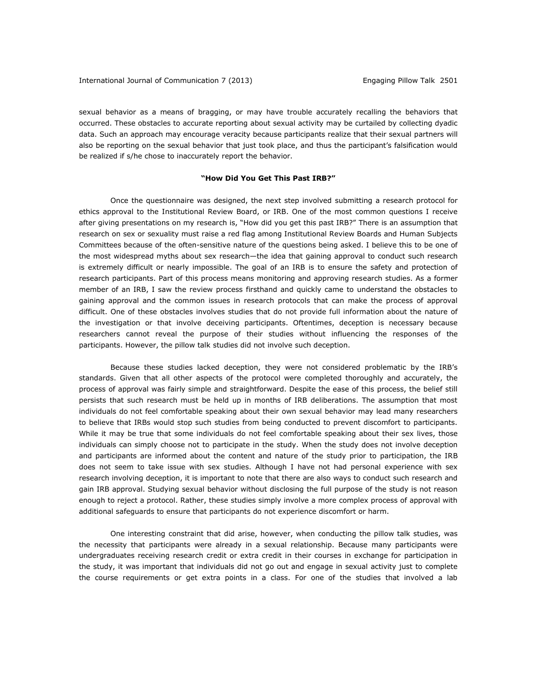sexual behavior as a means of bragging, or may have trouble accurately recalling the behaviors that occurred. These obstacles to accurate reporting about sexual activity may be curtailed by collecting dyadic data. Such an approach may encourage veracity because participants realize that their sexual partners will also be reporting on the sexual behavior that just took place, and thus the participant's falsification would be realized if s/he chose to inaccurately report the behavior.

## **"How Did You Get This Past IRB?"**

Once the questionnaire was designed, the next step involved submitting a research protocol for ethics approval to the Institutional Review Board, or IRB. One of the most common questions I receive after giving presentations on my research is, "How did you get this past IRB?" There is an assumption that research on sex or sexuality must raise a red flag among Institutional Review Boards and Human Subjects Committees because of the often-sensitive nature of the questions being asked. I believe this to be one of the most widespread myths about sex research—the idea that gaining approval to conduct such research is extremely difficult or nearly impossible. The goal of an IRB is to ensure the safety and protection of research participants. Part of this process means monitoring and approving research studies. As a former member of an IRB, I saw the review process firsthand and quickly came to understand the obstacles to gaining approval and the common issues in research protocols that can make the process of approval difficult. One of these obstacles involves studies that do not provide full information about the nature of the investigation or that involve deceiving participants. Oftentimes, deception is necessary because researchers cannot reveal the purpose of their studies without influencing the responses of the participants. However, the pillow talk studies did not involve such deception.

Because these studies lacked deception, they were not considered problematic by the IRB's standards. Given that all other aspects of the protocol were completed thoroughly and accurately, the process of approval was fairly simple and straightforward. Despite the ease of this process, the belief still persists that such research must be held up in months of IRB deliberations. The assumption that most individuals do not feel comfortable speaking about their own sexual behavior may lead many researchers to believe that IRBs would stop such studies from being conducted to prevent discomfort to participants. While it may be true that some individuals do not feel comfortable speaking about their sex lives, those individuals can simply choose not to participate in the study. When the study does not involve deception and participants are informed about the content and nature of the study prior to participation, the IRB does not seem to take issue with sex studies. Although I have not had personal experience with sex research involving deception, it is important to note that there are also ways to conduct such research and gain IRB approval. Studying sexual behavior without disclosing the full purpose of the study is not reason enough to reject a protocol. Rather, these studies simply involve a more complex process of approval with additional safeguards to ensure that participants do not experience discomfort or harm.

One interesting constraint that did arise, however, when conducting the pillow talk studies, was the necessity that participants were already in a sexual relationship. Because many participants were undergraduates receiving research credit or extra credit in their courses in exchange for participation in the study, it was important that individuals did not go out and engage in sexual activity just to complete the course requirements or get extra points in a class. For one of the studies that involved a lab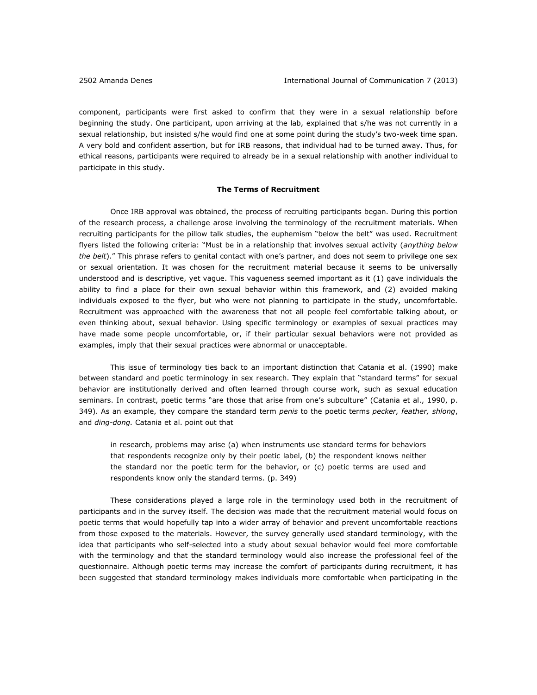component, participants were first asked to confirm that they were in a sexual relationship before beginning the study. One participant, upon arriving at the lab, explained that s/he was not currently in a sexual relationship, but insisted s/he would find one at some point during the study's two-week time span. A very bold and confident assertion, but for IRB reasons, that individual had to be turned away. Thus, for ethical reasons, participants were required to already be in a sexual relationship with another individual to participate in this study.

#### **The Terms of Recruitment**

Once IRB approval was obtained, the process of recruiting participants began. During this portion of the research process, a challenge arose involving the terminology of the recruitment materials. When recruiting participants for the pillow talk studies, the euphemism "below the belt" was used. Recruitment flyers listed the following criteria: "Must be in a relationship that involves sexual activity (*anything below the belt*)." This phrase refers to genital contact with one's partner, and does not seem to privilege one sex or sexual orientation. It was chosen for the recruitment material because it seems to be universally understood and is descriptive, yet vague. This vagueness seemed important as it (1) gave individuals the ability to find a place for their own sexual behavior within this framework, and (2) avoided making individuals exposed to the flyer, but who were not planning to participate in the study, uncomfortable. Recruitment was approached with the awareness that not all people feel comfortable talking about, or even thinking about, sexual behavior. Using specific terminology or examples of sexual practices may have made some people uncomfortable, or, if their particular sexual behaviors were not provided as examples, imply that their sexual practices were abnormal or unacceptable.

This issue of terminology ties back to an important distinction that Catania et al. (1990) make between standard and poetic terminology in sex research. They explain that "standard terms" for sexual behavior are institutionally derived and often learned through course work, such as sexual education seminars. In contrast, poetic terms "are those that arise from one's subculture" (Catania et al., 1990, p. 349). As an example, they compare the standard term *penis* to the poetic terms *pecker, feather, shlong*, and *ding-dong.* Catania et al. point out that

in research, problems may arise (a) when instruments use standard terms for behaviors that respondents recognize only by their poetic label, (b) the respondent knows neither the standard nor the poetic term for the behavior, or (c) poetic terms are used and respondents know only the standard terms. (p. 349)

These considerations played a large role in the terminology used both in the recruitment of participants and in the survey itself. The decision was made that the recruitment material would focus on poetic terms that would hopefully tap into a wider array of behavior and prevent uncomfortable reactions from those exposed to the materials. However, the survey generally used standard terminology, with the idea that participants who self-selected into a study about sexual behavior would feel more comfortable with the terminology and that the standard terminology would also increase the professional feel of the questionnaire. Although poetic terms may increase the comfort of participants during recruitment, it has been suggested that standard terminology makes individuals more comfortable when participating in the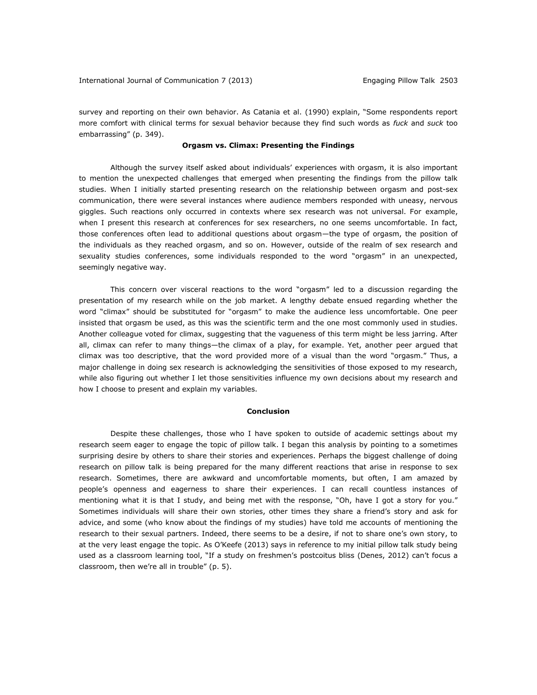survey and reporting on their own behavior. As Catania et al. (1990) explain, "Some respondents report more comfort with clinical terms for sexual behavior because they find such words as *fuck* and *suck* too embarrassing" (p. 349).

### **Orgasm vs. Climax: Presenting the Findings**

Although the survey itself asked about individuals' experiences with orgasm, it is also important to mention the unexpected challenges that emerged when presenting the findings from the pillow talk studies. When I initially started presenting research on the relationship between orgasm and post-sex communication, there were several instances where audience members responded with uneasy, nervous giggles. Such reactions only occurred in contexts where sex research was not universal. For example, when I present this research at conferences for sex researchers, no one seems uncomfortable. In fact, those conferences often lead to additional questions about orgasm—the type of orgasm, the position of the individuals as they reached orgasm, and so on. However, outside of the realm of sex research and sexuality studies conferences, some individuals responded to the word "orgasm" in an unexpected, seemingly negative way.

This concern over visceral reactions to the word "orgasm" led to a discussion regarding the presentation of my research while on the job market. A lengthy debate ensued regarding whether the word "climax" should be substituted for "orgasm" to make the audience less uncomfortable. One peer insisted that orgasm be used, as this was the scientific term and the one most commonly used in studies. Another colleague voted for climax, suggesting that the vagueness of this term might be less jarring. After all, climax can refer to many things—the climax of a play, for example. Yet, another peer argued that climax was too descriptive, that the word provided more of a visual than the word "orgasm." Thus, a major challenge in doing sex research is acknowledging the sensitivities of those exposed to my research, while also figuring out whether I let those sensitivities influence my own decisions about my research and how I choose to present and explain my variables.

### **Conclusion**

Despite these challenges, those who I have spoken to outside of academic settings about my research seem eager to engage the topic of pillow talk. I began this analysis by pointing to a sometimes surprising desire by others to share their stories and experiences. Perhaps the biggest challenge of doing research on pillow talk is being prepared for the many different reactions that arise in response to sex research. Sometimes, there are awkward and uncomfortable moments, but often, I am amazed by people's openness and eagerness to share their experiences. I can recall countless instances of mentioning what it is that I study, and being met with the response, "Oh, have I got a story for you." Sometimes individuals will share their own stories, other times they share a friend's story and ask for advice, and some (who know about the findings of my studies) have told me accounts of mentioning the research to their sexual partners. Indeed, there seems to be a desire, if not to share one's own story, to at the very least engage the topic. As O'Keefe (2013) says in reference to my initial pillow talk study being used as a classroom learning tool, "If a study on freshmen's postcoitus bliss (Denes, 2012) can't focus a classroom, then we're all in trouble" (p. 5).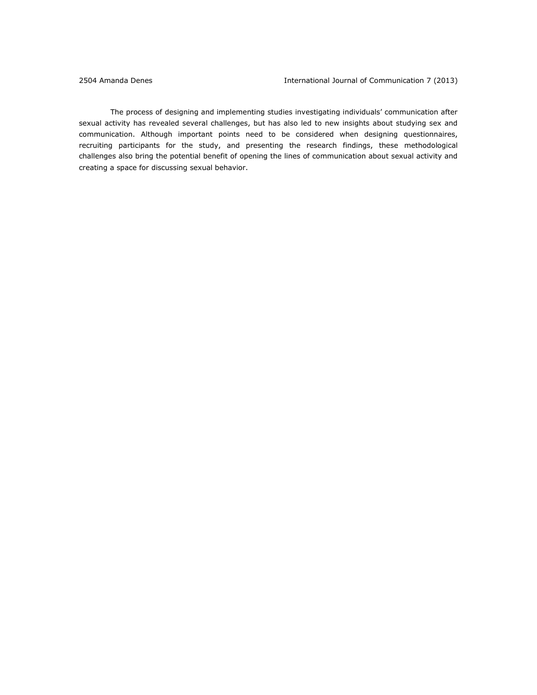The process of designing and implementing studies investigating individuals' communication after sexual activity has revealed several challenges, but has also led to new insights about studying sex and communication. Although important points need to be considered when designing questionnaires, recruiting participants for the study, and presenting the research findings, these methodological challenges also bring the potential benefit of opening the lines of communication about sexual activity and creating a space for discussing sexual behavior.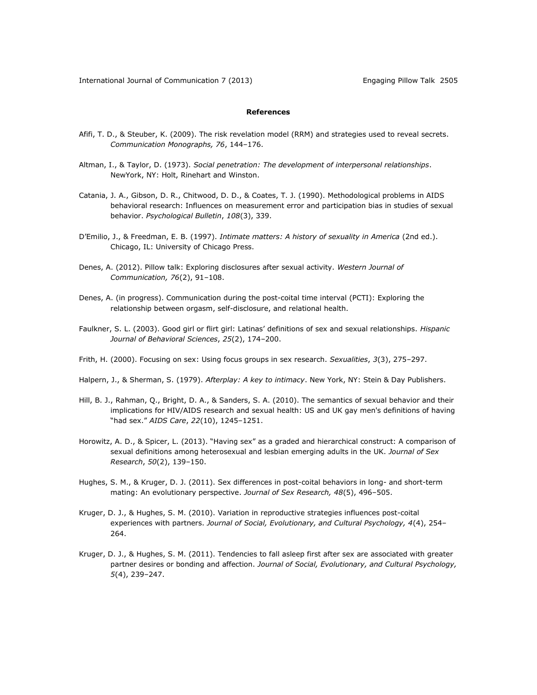## **References**

- Afifi, T. D., & Steuber, K. (2009). The risk revelation model (RRM) and strategies used to reveal secrets. *Communication Monographs, 76*, 144–176.
- Altman, I., & Taylor, D. (1973). *Social penetration: The development of interpersonal relationships*. NewYork, NY: Holt, Rinehart and Winston.
- Catania, J. A., Gibson, D. R., Chitwood, D. D., & Coates, T. J. (1990). Methodological problems in AIDS behavioral research: Influences on measurement error and participation bias in studies of sexual behavior. *Psychological Bulletin*, *108*(3), 339.
- D'Emilio, J., & Freedman, E. B. (1997). *Intimate matters: A history of sexuality in America* (2nd ed.). Chicago, IL: University of Chicago Press.
- Denes, A. (2012). Pillow talk: Exploring disclosures after sexual activity. *Western Journal of Communication, 76*(2), 91–108.
- Denes, A. (in progress). Communication during the post-coital time interval (PCTI): Exploring the relationship between orgasm, self-disclosure, and relational health.
- Faulkner, S. L. (2003). Good girl or flirt girl: Latinas' definitions of sex and sexual relationships. *Hispanic Journal of Behavioral Sciences*, *25*(2), 174–200.
- Frith, H. (2000). Focusing on sex: Using focus groups in sex research. *Sexualities*, *3*(3), 275–297.
- Halpern, J., & Sherman, S. (1979). *Afterplay: A key to intimacy*. New York, NY: Stein & Day Publishers.
- Hill, B. J., Rahman, Q., Bright, D. A., & Sanders, S. A. (2010). The semantics of sexual behavior and their implications for HIV/AIDS research and sexual health: US and UK gay men's definitions of having "had sex." *AIDS Care*, *22*(10), 1245–1251.
- Horowitz, A. D., & Spicer, L. (2013). "Having sex" as a graded and hierarchical construct: A comparison of sexual definitions among heterosexual and lesbian emerging adults in the UK. *Journal of Sex Research*, *50*(2), 139–150.
- Hughes, S. M., & Kruger, D. J. (2011). Sex differences in post-coital behaviors in long- and short-term mating: An evolutionary perspective. *Journal of Sex Research, 48*(5), 496–505.
- Kruger, D. J., & Hughes, S. M. (2010). Variation in reproductive strategies influences post-coital experiences with partners. *Journal of Social, Evolutionary, and Cultural Psychology, 4*(4), 254– 264.
- Kruger, D. J., & Hughes, S. M. (2011). Tendencies to fall asleep first after sex are associated with greater partner desires or bonding and affection. *Journal of Social, Evolutionary, and Cultural Psychology, 5*(4), 239–247.